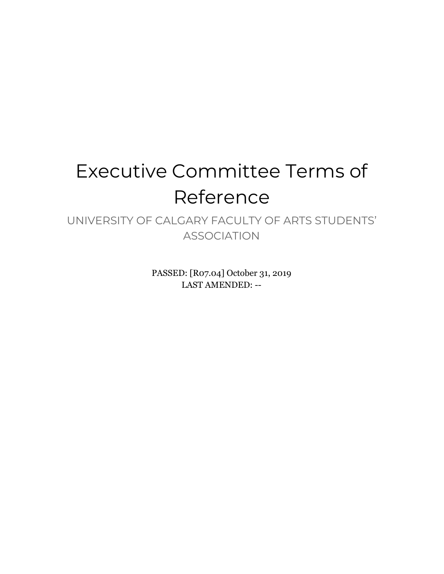# Executive Committee Terms of Reference

UNIVERSITY OF CALGARY FACULTY OF ARTS STUDENTS' ASSOCIATION

> PASSED: [R07.04] October 31, 2019 LAST AMENDED: --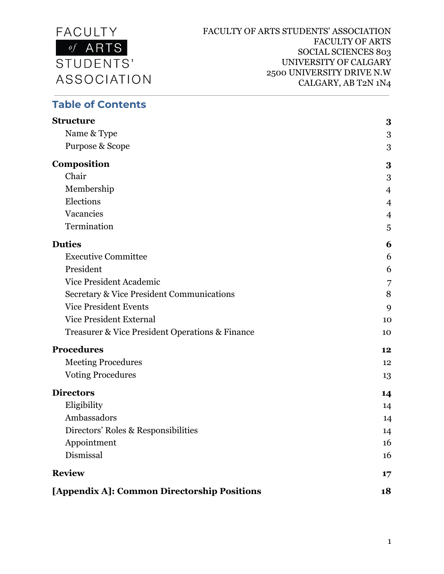

#### **Table of Contents**

| <b>Structure</b>                                     | 3              |
|------------------------------------------------------|----------------|
| Name & Type                                          | 3              |
| Purpose & Scope                                      | 3              |
| Composition                                          | 3              |
| Chair                                                | 3              |
| Membership                                           | $\overline{4}$ |
| Elections                                            | $\overline{4}$ |
| Vacancies                                            | $\overline{4}$ |
| Termination                                          | 5              |
| <b>Duties</b>                                        | 6              |
| <b>Executive Committee</b>                           | 6              |
| President                                            | 6              |
| <b>Vice President Academic</b>                       | 7              |
| <b>Secretary &amp; Vice President Communications</b> | 8              |
| <b>Vice President Events</b>                         | 9              |
| <b>Vice President External</b>                       | 10             |
| Treasurer & Vice President Operations & Finance      | 10             |
| <b>Procedures</b>                                    | 12             |
| <b>Meeting Procedures</b>                            | 12             |
| <b>Voting Procedures</b>                             | 13             |
| <b>Directors</b>                                     | 14             |
| Eligibility                                          | 14             |
| Ambassadors                                          | 14             |
| Directors' Roles & Responsibilities                  | 14             |
| Appointment                                          | 16             |
| Dismissal                                            | 16             |
| <b>Review</b>                                        | 17             |
| [Appendix A]: Common Directorship Positions          | 18             |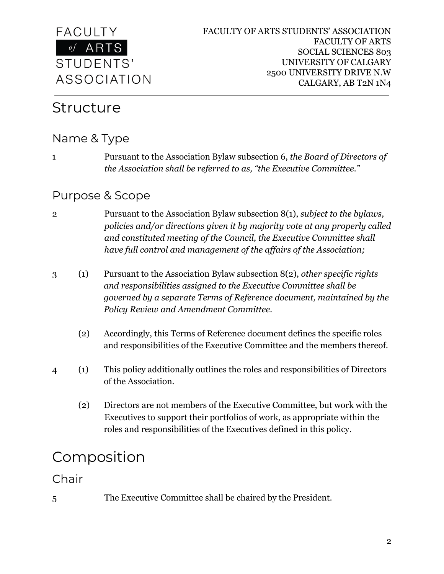

### <span id="page-2-0"></span>Structure

#### <span id="page-2-1"></span>Name & Type

1 Pursuant to the Association Bylaw subsection 6, *the Board of Directors of the Association shall be referred to as, "the Executive Committee."*

#### <span id="page-2-2"></span>Purpose & Scope

- 2 Pursuant to the Association Bylaw subsection 8(1), *subject to the bylaws, policies and/or directions given it by majority vote at any properly called and constituted meeting of the Council, the Executive Committee shall have full control and management of the affairs of the Association;*
- 3 (1) Pursuant to the Association Bylaw subsection 8(2), *other specific rights and responsibilities assigned to the Executive Committee shall be governed by a separate Terms of Reference document, maintained by the Policy Review and Amendment Committee.*
	- (2) Accordingly, this Terms of Reference document defines the specific roles and responsibilities of the Executive Committee and the members thereof.
- 4 (1) This policy additionally outlines the roles and responsibilities of Directors of the Association.
	- (2) Directors are not members of the Executive Committee, but work with the Executives to support their portfolios of work, as appropriate within the roles and responsibilities of the Executives defined in this policy.

## <span id="page-2-3"></span>Composition

<span id="page-2-4"></span>Chair

5 The Executive Committee shall be chaired by the President.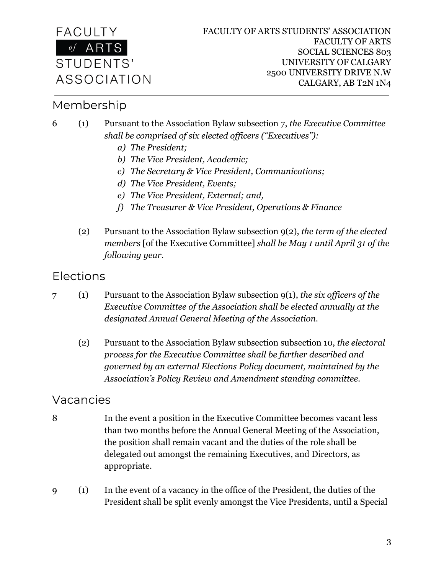

#### <span id="page-3-0"></span>Membership

- 6 (1) Pursuant to the Association Bylaw subsection 7, *the Executive Committee shall be comprised of six elected officers ("Executives"):*
	- *a) The President;*
	- *b) The Vice President, Academic;*
	- *c) The Secretary & Vice President, Communications;*
	- *d) The Vice President, Events;*
	- *e) The Vice President, External; and,*
	- *f) The Treasurer & Vice President, Operations & Finance*
	- (2) Pursuant to the Association Bylaw subsection 9(2), *the term of the elected members* [of the Executive Committee] *shall be May 1 until April 31 of the following year.*

#### <span id="page-3-1"></span>Elections

- 7 (1) Pursuant to the Association Bylaw subsection 9(1), *the six officers of the Executive Committee of the Association shall be elected annually at the designated Annual General Meeting of the Association.*
	- (2) Pursuant to the Association Bylaw subsection subsection 10, *the electoral process for the Executive Committee shall be further described and governed by an external Elections Policy document, maintained by the Association's Policy Review and Amendment standing committee.*

#### <span id="page-3-2"></span>Vacancies

- 8 In the event a position in the Executive Committee becomes vacant less than two months before the Annual General Meeting of the Association, the position shall remain vacant and the duties of the role shall be delegated out amongst the remaining Executives, and Directors, as appropriate.
- 9 (1) In the event of a vacancy in the office of the President, the duties of the President shall be split evenly amongst the Vice Presidents, until a Special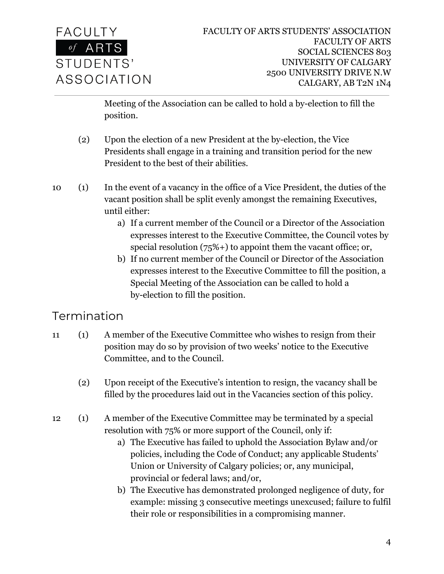

Meeting of the Association can be called to hold a by-election to fill the position.

- (2) Upon the election of a new President at the by-election, the Vice Presidents shall engage in a training and transition period for the new President to the best of their abilities.
- 10 (1) In the event of a vacancy in the office of a Vice President, the duties of the vacant position shall be split evenly amongst the remaining Executives, until either:
	- a) If a current member of the Council or a Director of the Association expresses interest to the Executive Committee, the Council votes by special resolution (75%+) to appoint them the vacant office; or,
	- b) If no current member of the Council or Director of the Association expresses interest to the Executive Committee to fill the position, a Special Meeting of the Association can be called to hold a by-election to fill the position.

### <span id="page-4-0"></span>Termination

- 11 (1) A member of the Executive Committee who wishes to resign from their position may do so by provision of two weeks' notice to the Executive Committee, and to the Council.
	- (2) Upon receipt of the Executive's intention to resign, the vacancy shall be filled by the procedures laid out in the Vacancies section of this policy.
- 12 (1) A member of the Executive Committee may be terminated by a special resolution with 75% or more support of the Council, only if:
	- a) The Executive has failed to uphold the Association Bylaw and/or policies, including the Code of Conduct; any applicable Students' Union or University of Calgary policies; or, any municipal, provincial or federal laws; and/or,
	- b) The Executive has demonstrated prolonged negligence of duty, for example: missing 3 consecutive meetings unexcused; failure to fulfil their role or responsibilities in a compromising manner.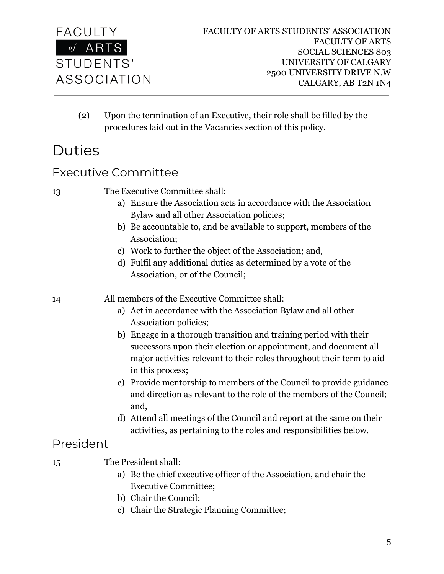

(2) Upon the termination of an Executive, their role shall be filled by the procedures laid out in the Vacancies section of this policy.

## <span id="page-5-0"></span>Duties

#### <span id="page-5-1"></span>Executive Committee

<span id="page-5-2"></span>

| 13        | The Executive Committee shall:                                                         |
|-----------|----------------------------------------------------------------------------------------|
|           | a) Ensure the Association acts in accordance with the Association                      |
|           | Bylaw and all other Association policies;                                              |
|           | b) Be accountable to, and be available to support, members of the                      |
|           | Association;                                                                           |
|           | c) Work to further the object of the Association; and,                                 |
|           | d) Fulfil any additional duties as determined by a vote of the                         |
|           | Association, or of the Council;                                                        |
| 14        | All members of the Executive Committee shall:                                          |
|           | a) Act in accordance with the Association Bylaw and all other<br>Association policies; |
|           | b) Engage in a thorough transition and training period with their                      |
|           | successors upon their election or appointment, and document all                        |
|           | major activities relevant to their roles throughout their term to aid                  |
|           | in this process;                                                                       |
|           | c) Provide mentorship to members of the Council to provide guidance                    |
|           | and direction as relevant to the role of the members of the Council;                   |
|           | and,                                                                                   |
|           | d) Attend all meetings of the Council and report at the same on their                  |
|           | activities, as pertaining to the roles and responsibilities below.                     |
| President |                                                                                        |
| 15        | The President shall:                                                                   |
|           | a) Be the chief executive officer of the Association, and chair the                    |
|           | <b>Executive Committee;</b>                                                            |
|           | b) Chair the Council;                                                                  |
|           | c) Chair the Strategic Planning Committee;                                             |
|           |                                                                                        |
|           |                                                                                        |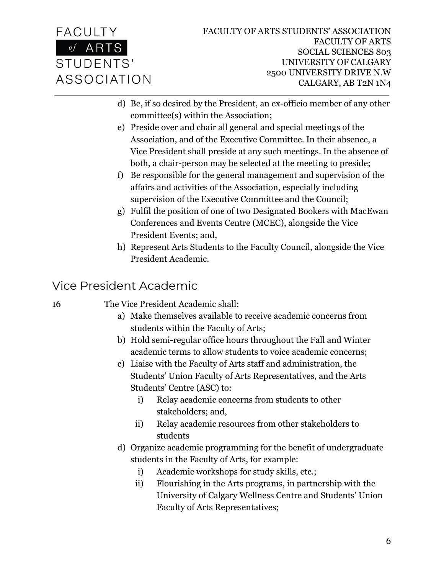- d) Be, if so desired by the President, an ex-officio member of any other committee(s) within the Association;
- e) Preside over and chair all general and special meetings of the Association, and of the Executive Committee. In their absence, a Vice President shall preside at any such meetings. In the absence of both, a chair-person may be selected at the meeting to preside;
- f) Be responsible for the general management and supervision of the affairs and activities of the Association, especially including supervision of the Executive Committee and the Council;
- g) Fulfil the position of one of two Designated Bookers with MacEwan Conferences and Events Centre (MCEC), alongside the Vice President Events; and,
- h) Represent Arts Students to the Faculty Council, alongside the Vice President Academic.

### <span id="page-6-0"></span>Vice President Academic

16 The Vice President Academic shall:

- a) Make themselves available to receive academic concerns from students within the Faculty of Arts;
- b) Hold semi-regular office hours throughout the Fall and Winter academic terms to allow students to voice academic concerns;
- c) Liaise with the Faculty of Arts staff and administration, the Students' Union Faculty of Arts Representatives, and the Arts Students' Centre (ASC) to:
	- i) Relay academic concerns from students to other stakeholders; and,
	- ii) Relay academic resources from other stakeholders to students
- d) Organize academic programming for the benefit of undergraduate students in the Faculty of Arts, for example:
	- i) Academic workshops for study skills, etc.;
	- ii) Flourishing in the Arts programs, in partnership with the University of Calgary Wellness Centre and Students' Union Faculty of Arts Representatives;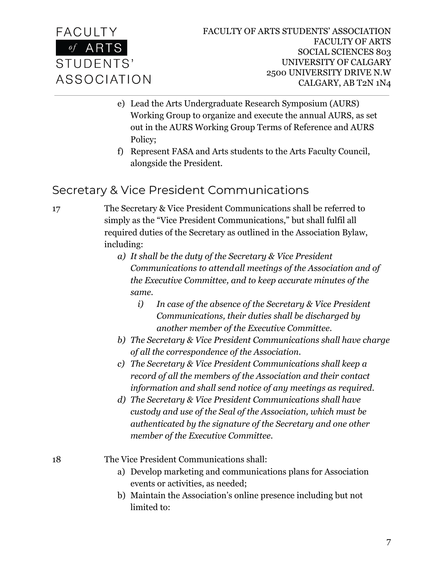

- e) Lead the Arts Undergraduate Research Symposium (AURS) Working Group to organize and execute the annual AURS, as set out in the AURS Working Group Terms of Reference and AURS Policy;
- f) Represent FASA and Arts students to the Arts Faculty Council, alongside the President.

#### <span id="page-7-0"></span>Secretary & Vice President Communications

17 The Secretary & Vice President Communications shall be referred to simply as the "Vice President Communications," but shall fulfil all required duties of the Secretary as outlined in the Association Bylaw, including:

- *a) It shall be the duty of the Secretary & Vice President Communications to attendall meetings of the Association and of the Executive Committee, and to keep accurate minutes of the same.*
	- *i) In case of the absence of the Secretary & Vice President Communications, their duties shall be discharged by another member of the Executive Committee.*
- *b) The Secretary & Vice President Communications shall have charge of all the correspondence of the Association.*
- *c) The Secretary & Vice President Communications shall keep a record of all the members of the Association and their contact information and shall send notice of any meetings as required.*
- *d) The Secretary & Vice President Communications shall have custody and use of the Seal of the Association, which must be authenticated by the signature of the Secretary and one other member of the Executive Committee.*

18 The Vice President Communications shall:

- a) Develop marketing and communications plans for Association events or activities, as needed;
- b) Maintain the Association's online presence including but not limited to: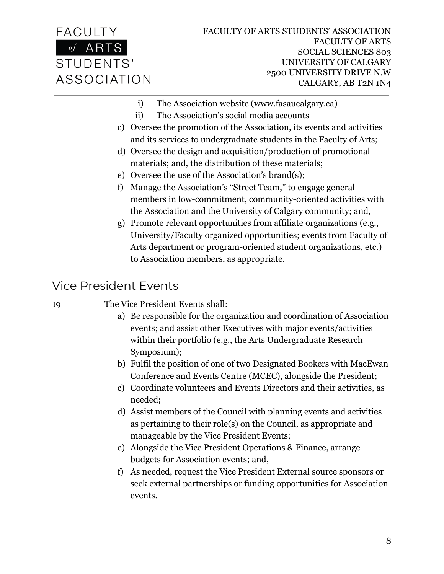

- i) The Association website (www.fasaucalgary.ca)
- ii) The Association's social media accounts
- c) Oversee the promotion of the Association, its events and activities and its services to undergraduate students in the Faculty of Arts;
- d) Oversee the design and acquisition/production of promotional materials; and, the distribution of these materials;
- e) Oversee the use of the Association's brand(s);
- f) Manage the Association's "Street Team," to engage general members in low-commitment, community-oriented activities with the Association and the University of Calgary community; and,
- g) Promote relevant opportunities from affiliate organizations (e.g., University/Faculty organized opportunities; events from Faculty of Arts department or program-oriented student organizations, etc.) to Association members, as appropriate.

#### <span id="page-8-0"></span>Vice President Events

#### 19 The Vice President Events shall:

- a) Be responsible for the organization and coordination of Association events; and assist other Executives with major events/activities within their portfolio (e.g., the Arts Undergraduate Research Symposium);
- b) Fulfil the position of one of two Designated Bookers with MacEwan Conference and Events Centre (MCEC), alongside the President;
- c) Coordinate volunteers and Events Directors and their activities, as needed;
- d) Assist members of the Council with planning events and activities as pertaining to their role(s) on the Council, as appropriate and manageable by the Vice President Events;
- e) Alongside the Vice President Operations & Finance, arrange budgets for Association events; and,
- f) As needed, request the Vice President External source sponsors or seek external partnerships or funding opportunities for Association events.

8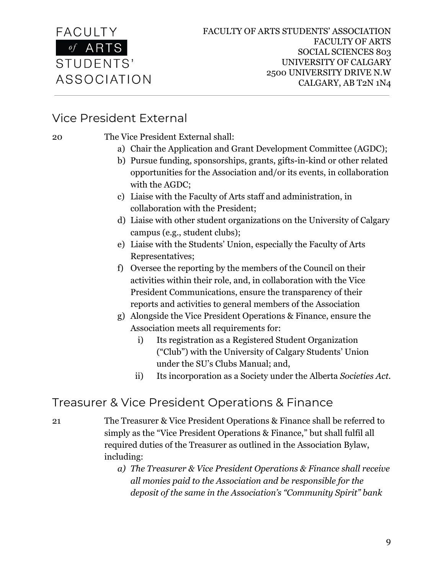

#### <span id="page-9-0"></span>Vice President External

20 The Vice President External shall:

- a) Chair the Application and Grant Development Committee (AGDC);
- b) Pursue funding, sponsorships, grants, gifts-in-kind or other related opportunities for the Association and/or its events, in collaboration with the AGDC;
- c) Liaise with the Faculty of Arts staff and administration, in collaboration with the President;
- d) Liaise with other student organizations on the University of Calgary campus (e.g., student clubs);
- e) Liaise with the Students' Union, especially the Faculty of Arts Representatives;
- f) Oversee the reporting by the members of the Council on their activities within their role, and, in collaboration with the Vice President Communications, ensure the transparency of their reports and activities to general members of the Association
- g) Alongside the Vice President Operations & Finance, ensure the Association meets all requirements for:
	- i) Its registration as a Registered Student Organization ("Club") with the University of Calgary Students' Union under the SU's Clubs Manual; and,
	- ii) Its incorporation as a Society under the Alberta *Societies Act.*

#### <span id="page-9-1"></span>Treasurer & Vice President Operations & Finance

- 21 The Treasurer & Vice President Operations & Finance shall be referred to simply as the "Vice President Operations & Finance," but shall fulfil all required duties of the Treasurer as outlined in the Association Bylaw, including:
	- *a) The Treasurer & Vice President Operations & Finance shall receive all monies paid to the Association and be responsible for the deposit of the same in the Association's "Community Spirit" bank*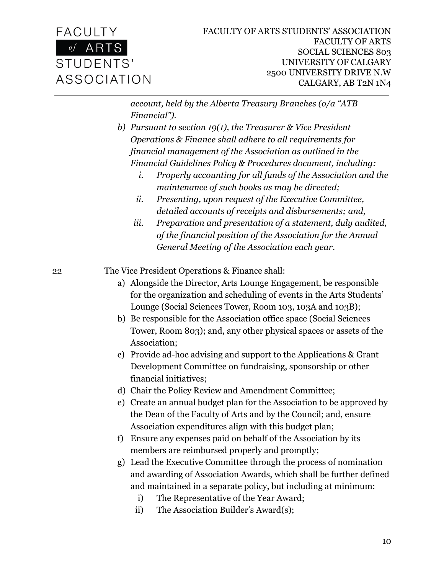

*account, held by the Alberta Treasury Branches (o/a "ATB Financial").*

- *b) Pursuant to section 19(1), the Treasurer & Vice President Operations & Finance shall adhere to all requirements for financial management of the Association as outlined in the Financial Guidelines Policy & Procedures document, including:*
	- *i. Properly accounting for all funds of the Association and the maintenance of such books as may be directed;*
	- *ii. Presenting, upon request of the Executive Committee, detailed accounts of receipts and disbursements; and,*
	- *iii. Preparation and presentation of a statement, duly audited, of the financial position of the Association for the Annual General Meeting of the Association each year.*

22 The Vice President Operations & Finance shall:

- a) Alongside the Director, Arts Lounge Engagement, be responsible for the organization and scheduling of events in the Arts Students' Lounge (Social Sciences Tower, Room 103, 103A and 103B);
- b) Be responsible for the Association office space (Social Sciences Tower, Room 803); and, any other physical spaces or assets of the Association;
- c) Provide ad-hoc advising and support to the Applications & Grant Development Committee on fundraising, sponsorship or other financial initiatives;

d) Chair the Policy Review and Amendment Committee;

- e) Create an annual budget plan for the Association to be approved by the Dean of the Faculty of Arts and by the Council; and, ensure Association expenditures align with this budget plan;
- f) Ensure any expenses paid on behalf of the Association by its members are reimbursed properly and promptly;
- g) Lead the Executive Committee through the process of nomination and awarding of Association Awards, which shall be further defined and maintained in a separate policy, but including at minimum:
	- i) The Representative of the Year Award;
	- ii) The Association Builder's Award(s);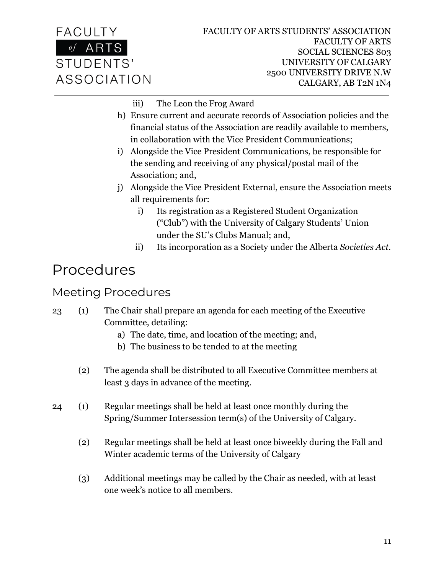

- iii) The Leon the Frog Award
- h) Ensure current and accurate records of Association policies and the financial status of the Association are readily available to members, in collaboration with the Vice President Communications;
- i) Alongside the Vice President Communications, be responsible for the sending and receiving of any physical/postal mail of the Association; and,
- j) Alongside the Vice President External, ensure the Association meets all requirements for:
	- i) Its registration as a Registered Student Organization ("Club") with the University of Calgary Students' Union under the SU's Clubs Manual; and,
	- ii) Its incorporation as a Society under the Alberta *Societies Act.*

## <span id="page-11-0"></span>Procedures

#### <span id="page-11-1"></span>Meeting Procedures

#### 23 (1) The Chair shall prepare an agenda for each meeting of the Executive Committee, detailing:

- a) The date, time, and location of the meeting; and,
- b) The business to be tended to at the meeting
- (2) The agenda shall be distributed to all Executive Committee members at least 3 days in advance of the meeting.
- 24 (1) Regular meetings shall be held at least once monthly during the Spring/Summer Intersession term(s) of the University of Calgary.
	- (2) Regular meetings shall be held at least once biweekly during the Fall and Winter academic terms of the University of Calgary
	- (3) Additional meetings may be called by the Chair as needed, with at least one week's notice to all members.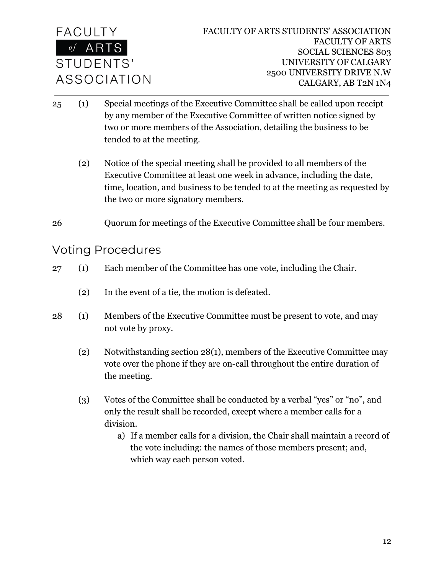

- 25 (1) Special meetings of the Executive Committee shall be called upon receipt by any member of the Executive Committee of written notice signed by two or more members of the Association, detailing the business to be tended to at the meeting.
	- (2) Notice of the special meeting shall be provided to all members of the Executive Committee at least one week in advance, including the date, time, location, and business to be tended to at the meeting as requested by the two or more signatory members.
- <span id="page-12-0"></span>26 Quorum for meetings of the Executive Committee shall be four members.

#### Voting Procedures

- 27 (1) Each member of the Committee has one vote, including the Chair.
	- (2) In the event of a tie, the motion is defeated.
- 28 (1) Members of the Executive Committee must be present to vote, and may not vote by proxy.
	- (2) Notwithstanding section 28(1), members of the Executive Committee may vote over the phone if they are on-call throughout the entire duration of the meeting.
	- (3) Votes of the Committee shall be conducted by a verbal "yes" or "no", and only the result shall be recorded, except where a member calls for a division.
		- a) If a member calls for a division, the Chair shall maintain a record of the vote including: the names of those members present; and, which way each person voted.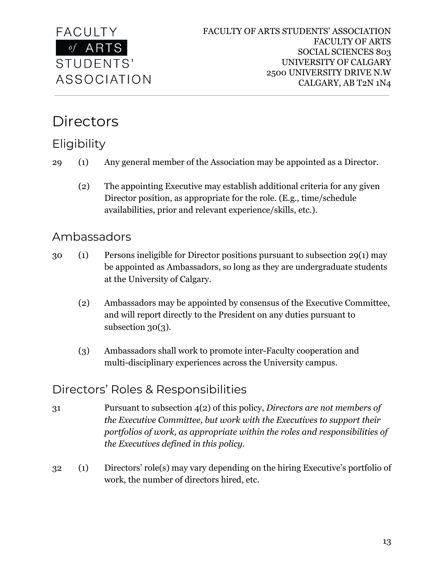

## <span id="page-13-0"></span>**Directors**

## <span id="page-13-1"></span>**Eligibility**

- 29 (1) Any general member of the Association may be appointed as a Director.
	- (2) The appointing Executive may establish additional criteria for any given Director position, as appropriate for the role. (E.g., time/schedule availabilities, prior and relevant experience/skills, etc.).

#### <span id="page-13-2"></span>Ambassadors

- 30 (1) Persons ineligible for Director positions pursuant to subsection 29(1) may be appointed as Ambassadors, so long as they are undergraduate students at the University of Calgary.
	- (2) Ambassadors may be appointed by consensus of the Executive Committee, and will report directly to the President on any duties pursuant to subsection 30(3).
	- (3) Ambassadors shall work to promote inter-Faculty cooperation and multi-disciplinary experiences across the University campus.

### <span id="page-13-3"></span>Directors' Roles & Responsibilities

- 31 Pursuant to subsection 4(2) of this policy, *Directors are not members of the Executive Committee, but work with the Executives to support their portfolios of work, as appropriate within the roles and responsibilities of the Executives defined in this policy.*
- 32 (1) Directors' role(s) may vary depending on the hiring Executive's portfolio of work, the number of directors hired, etc.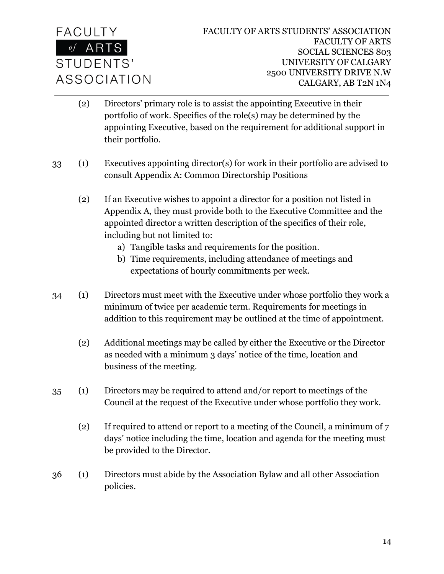

- (2) Directors' primary role is to assist the appointing Executive in their portfolio of work. Specifics of the role(s) may be determined by the appointing Executive, based on the requirement for additional support in their portfolio.
- 33 (1) Executives appointing director(s) for work in their portfolio are advised to consult Appendix A: Common Directorship Positions
	- (2) If an Executive wishes to appoint a director for a position not listed in Appendix A, they must provide both to the Executive Committee and the appointed director a written description of the specifics of their role, including but not limited to:
		- a) Tangible tasks and requirements for the position.
		- b) Time requirements, including attendance of meetings and expectations of hourly commitments per week.
- 34 (1) Directors must meet with the Executive under whose portfolio they work a minimum of twice per academic term. Requirements for meetings in addition to this requirement may be outlined at the time of appointment.
	- (2) Additional meetings may be called by either the Executive or the Director as needed with a minimum 3 days' notice of the time, location and business of the meeting.
- 35 (1) Directors may be required to attend and/or report to meetings of the Council at the request of the Executive under whose portfolio they work.
	- (2) If required to attend or report to a meeting of the Council, a minimum of 7 days' notice including the time, location and agenda for the meeting must be provided to the Director.
- 36 (1) Directors must abide by the Association Bylaw and all other Association policies.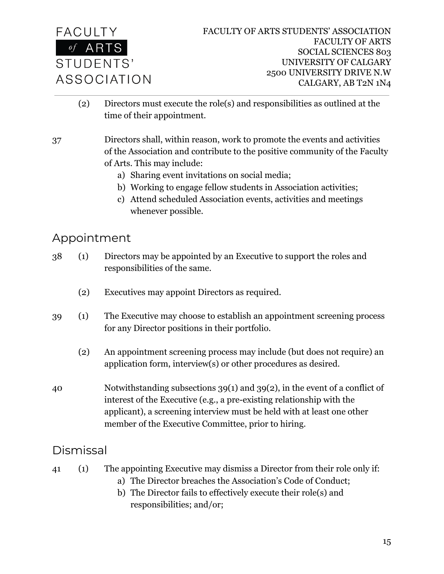

- (2) Directors must execute the role(s) and responsibilities as outlined at the time of their appointment.
- 37 Directors shall, within reason, work to promote the events and activities of the Association and contribute to the positive community of the Faculty of Arts. This may include:
	- a) Sharing event invitations on social media;
	- b) Working to engage fellow students in Association activities;
	- c) Attend scheduled Association events, activities and meetings whenever possible.

#### <span id="page-15-0"></span>Appointment

- 38 (1) Directors may be appointed by an Executive to support the roles and responsibilities of the same.
	- (2) Executives may appoint Directors as required.
- 39 (1) The Executive may choose to establish an appointment screening process for any Director positions in their portfolio.
	- (2) An appointment screening process may include (but does not require) an application form, interview(s) or other procedures as desired.
- 40 Notwithstanding subsections 39(1) and 39(2), in the event of a conflict of interest of the Executive (e.g., a pre-existing relationship with the applicant), a screening interview must be held with at least one other member of the Executive Committee, prior to hiring.

#### <span id="page-15-1"></span>Dismissal

- 41 (1) The appointing Executive may dismiss a Director from their role only if:
	- a) The Director breaches the Association's Code of Conduct;
	- b) The Director fails to effectively execute their role(s) and responsibilities; and/or;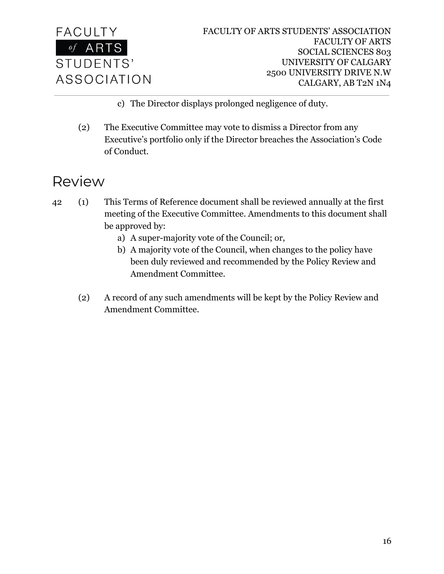

- c) The Director displays prolonged negligence of duty.
- (2) The Executive Committee may vote to dismiss a Director from any Executive's portfolio only if the Director breaches the Association's Code of Conduct.

## <span id="page-16-0"></span>Review

- 42 (1) This Terms of Reference document shall be reviewed annually at the first meeting of the Executive Committee. Amendments to this document shall be approved by:
	- a) A super-majority vote of the Council; or,
	- b) A majority vote of the Council, when changes to the policy have been duly reviewed and recommended by the Policy Review and Amendment Committee.
	- (2) A record of any such amendments will be kept by the Policy Review and Amendment Committee.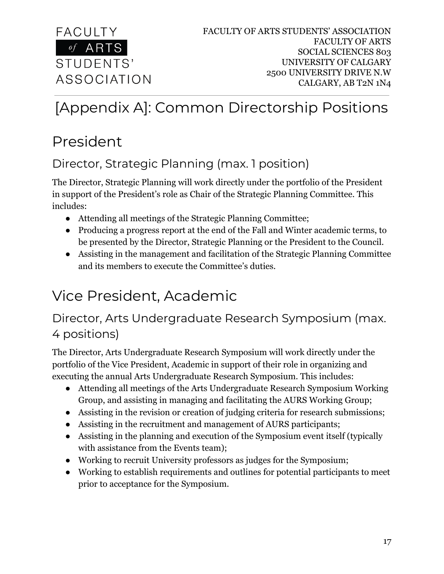

## <span id="page-17-0"></span>[Appendix A]: Common Directorship Positions

## President

## Director, Strategic Planning (max. 1 position)

The Director, Strategic Planning will work directly under the portfolio of the President in support of the President's role as Chair of the Strategic Planning Committee. This includes:

- Attending all meetings of the Strategic Planning Committee;
- Producing a progress report at the end of the Fall and Winter academic terms, to be presented by the Director, Strategic Planning or the President to the Council.
- Assisting in the management and facilitation of the Strategic Planning Committee and its members to execute the Committee's duties.

## Vice President, Academic

### Director, Arts Undergraduate Research Symposium (max. 4 positions)

The Director, Arts Undergraduate Research Symposium will work directly under the portfolio of the Vice President, Academic in support of their role in organizing and executing the annual Arts Undergraduate Research Symposium. This includes:

- Attending all meetings of the Arts Undergraduate Research Symposium Working Group, and assisting in managing and facilitating the AURS Working Group;
- Assisting in the revision or creation of judging criteria for research submissions;
- Assisting in the recruitment and management of AURS participants;
- Assisting in the planning and execution of the Symposium event itself (typically with assistance from the Events team);
- Working to recruit University professors as judges for the Symposium;
- Working to establish requirements and outlines for potential participants to meet prior to acceptance for the Symposium.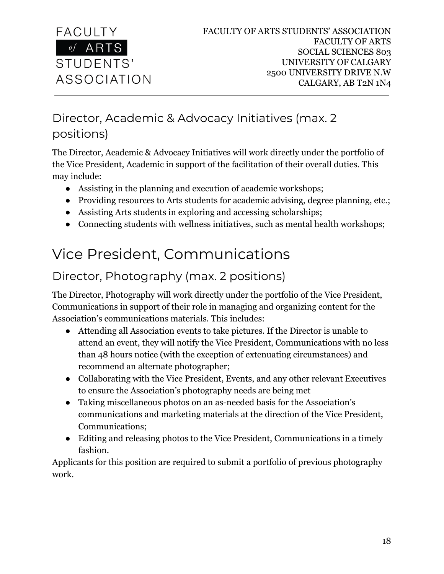

## Director, Academic & Advocacy Initiatives (max. 2 positions)

The Director, Academic & Advocacy Initiatives will work directly under the portfolio of the Vice President, Academic in support of the facilitation of their overall duties. This may include:

- Assisting in the planning and execution of academic workshops;
- Providing resources to Arts students for academic advising, degree planning, etc.;
- Assisting Arts students in exploring and accessing scholarships;
- Connecting students with wellness initiatives, such as mental health workshops;

## Vice President, Communications

### Director, Photography (max. 2 positions)

The Director, Photography will work directly under the portfolio of the Vice President, Communications in support of their role in managing and organizing content for the Association's communications materials. This includes:

- Attending all Association events to take pictures. If the Director is unable to attend an event, they will notify the Vice President, Communications with no less than 48 hours notice (with the exception of extenuating circumstances) and recommend an alternate photographer;
- Collaborating with the Vice President, Events, and any other relevant Executives to ensure the Association's photography needs are being met
- Taking miscellaneous photos on an as-needed basis for the Association's communications and marketing materials at the direction of the Vice President, Communications;
- Editing and releasing photos to the Vice President, Communications in a timely fashion.

Applicants for this position are required to submit a portfolio of previous photography work.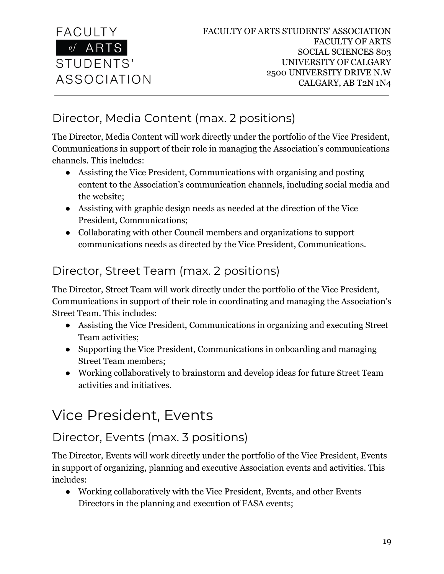

## Director, Media Content (max. 2 positions)

The Director, Media Content will work directly under the portfolio of the Vice President, Communications in support of their role in managing the Association's communications channels. This includes:

- Assisting the Vice President, Communications with organising and posting content to the Association's communication channels, including social media and the website;
- Assisting with graphic design needs as needed at the direction of the Vice President, Communications;
- Collaborating with other Council members and organizations to support communications needs as directed by the Vice President, Communications.

## Director, Street Team (max. 2 positions)

The Director, Street Team will work directly under the portfolio of the Vice President, Communications in support of their role in coordinating and managing the Association's Street Team. This includes:

- Assisting the Vice President, Communications in organizing and executing Street Team activities;
- Supporting the Vice President, Communications in onboarding and managing Street Team members;
- Working collaboratively to brainstorm and develop ideas for future Street Team activities and initiatives.

## Vice President, Events

## Director, Events (max. 3 positions)

The Director, Events will work directly under the portfolio of the Vice President, Events in support of organizing, planning and executive Association events and activities. This includes:

● Working collaboratively with the Vice President, Events, and other Events Directors in the planning and execution of FASA events;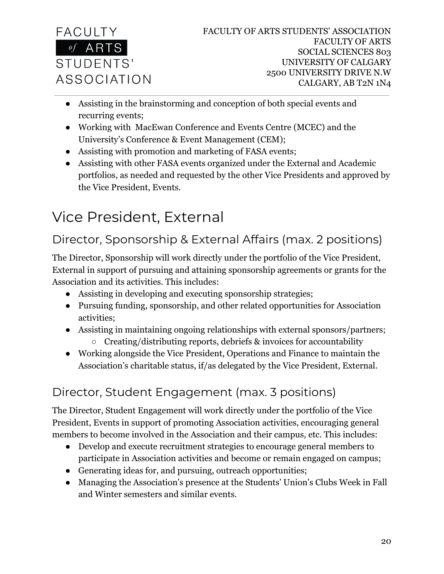

- Assisting in the brainstorming and conception of both special events and recurring events;
- Working with MacEwan Conference and Events Centre (MCEC) and the University's Conference & Event Management (CEM);
- Assisting with promotion and marketing of FASA events;
- Assisting with other FASA events organized under the External and Academic portfolios, as needed and requested by the other Vice Presidents and approved by the Vice President, Events.

## Vice President, External

## Director, Sponsorship & External Affairs (max. 2 positions)

The Director, Sponsorship will work directly under the portfolio of the Vice President, External in support of pursuing and attaining sponsorship agreements or grants for the Association and its activities. This includes:

- Assisting in developing and executing sponsorship strategies;
- Pursuing funding, sponsorship, and other related opportunities for Association activities;
- Assisting in maintaining ongoing relationships with external sponsors/partners;  $\circ$  Creating/distributing reports, debriefs & invoices for accountability
- Working alongside the Vice President, Operations and Finance to maintain the Association's charitable status, if/as delegated by the Vice President, External.

## Director, Student Engagement (max. 3 positions)

The Director, Student Engagement will work directly under the portfolio of the Vice President, Events in support of promoting Association activities, encouraging general members to become involved in the Association and their campus, etc. This includes:

- Develop and execute recruitment strategies to encourage general members to participate in Association activities and become or remain engaged on campus;
- Generating ideas for, and pursuing, outreach opportunities;
- Managing the Association's presence at the Students' Union's Clubs Week in Fall and Winter semesters and similar events.